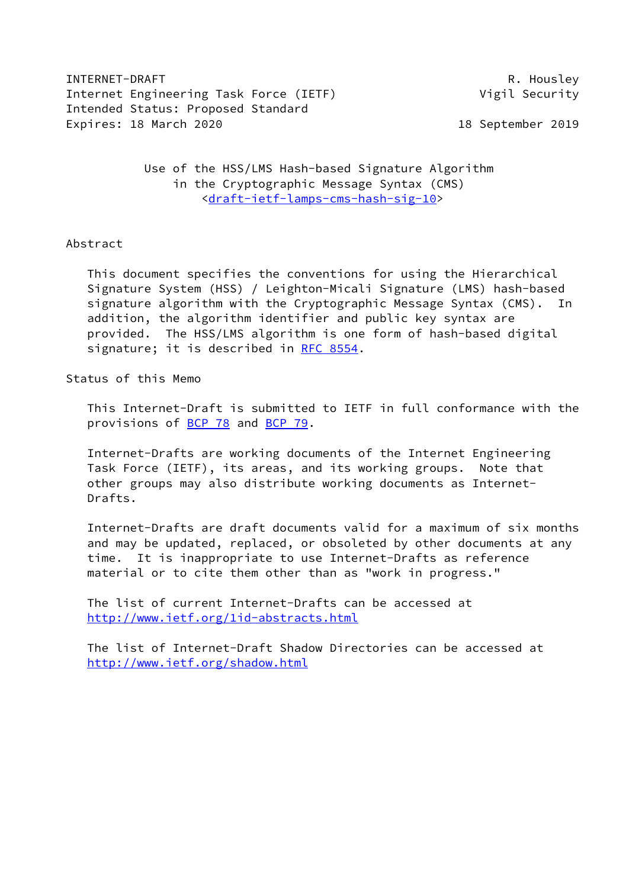INTERNET-DRAFT R. Housley Internet Engineering Task Force (IETF) vigil Security Intended Status: Proposed Standard Expires: 18 March 2020 18 September 2019

 Use of the HSS/LMS Hash-based Signature Algorithm in the Cryptographic Message Syntax (CMS) [<draft-ietf-lamps-cms-hash-sig-10](https://datatracker.ietf.org/doc/pdf/draft-ietf-lamps-cms-hash-sig-10)>

# Abstract

 This document specifies the conventions for using the Hierarchical Signature System (HSS) / Leighton-Micali Signature (LMS) hash-based signature algorithm with the Cryptographic Message Syntax (CMS). In addition, the algorithm identifier and public key syntax are provided. The HSS/LMS algorithm is one form of hash-based digital signature; it is described in [RFC 8554](https://datatracker.ietf.org/doc/pdf/rfc8554).

Status of this Memo

 This Internet-Draft is submitted to IETF in full conformance with the provisions of <u>BCP 78</u> and **BCP 79.** 

 Internet-Drafts are working documents of the Internet Engineering Task Force (IETF), its areas, and its working groups. Note that other groups may also distribute working documents as Internet- Drafts.

 Internet-Drafts are draft documents valid for a maximum of six months and may be updated, replaced, or obsoleted by other documents at any time. It is inappropriate to use Internet-Drafts as reference material or to cite them other than as "work in progress."

 The list of current Internet-Drafts can be accessed at <http://www.ietf.org/1id-abstracts.html>

 The list of Internet-Draft Shadow Directories can be accessed at <http://www.ietf.org/shadow.html>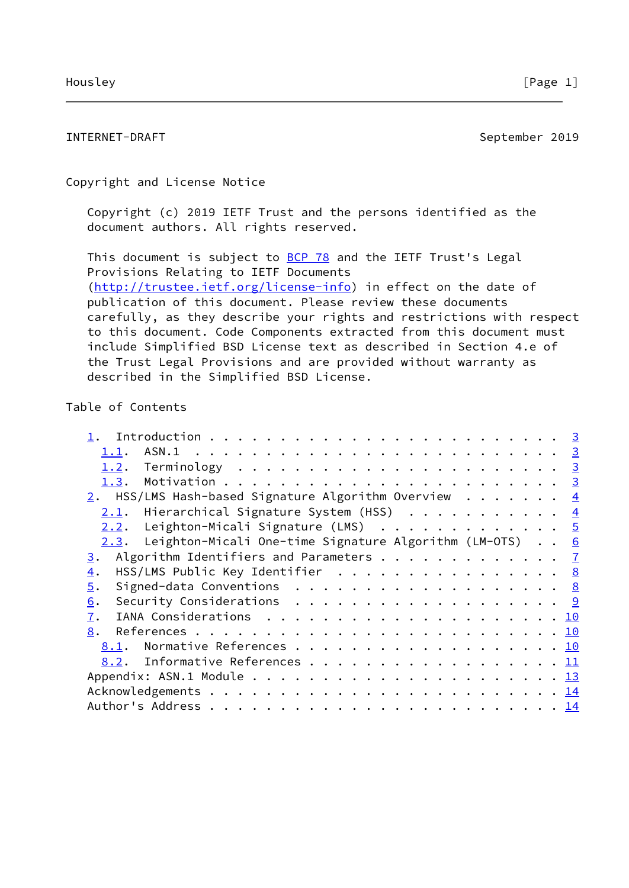INTERNET-DRAFT September 2019

Copyright and License Notice

 Copyright (c) 2019 IETF Trust and the persons identified as the document authors. All rights reserved.

This document is subject to **[BCP 78](https://datatracker.ietf.org/doc/pdf/bcp78)** and the IETF Trust's Legal Provisions Relating to IETF Documents [\(http://trustee.ietf.org/license-info](http://trustee.ietf.org/license-info)) in effect on the date of publication of this document. Please review these documents carefully, as they describe your rights and restrictions with respect to this document. Code Components extracted from this document must include Simplified BSD License text as described in Section 4.e of the Trust Legal Provisions and are provided without warranty as described in the Simplified BSD License.

# Table of Contents

| <u>1.1</u> .                                                     |  |  |  |  |
|------------------------------------------------------------------|--|--|--|--|
| 1.2.                                                             |  |  |  |  |
| 1.3.                                                             |  |  |  |  |
| 2. HSS/LMS Hash-based Signature Algorithm Overview $\frac{4}{1}$ |  |  |  |  |
| 2.1. Hierarchical Signature System (HSS) 4                       |  |  |  |  |
| 2.2. Leighton-Micali Signature (LMS) 5                           |  |  |  |  |
| 2.3. Leighton-Micali One-time Signature Algorithm (LM-OTS) 6     |  |  |  |  |
| Algorithm Identifiers and Parameters 7<br>3.                     |  |  |  |  |
| HSS/LMS Public Key Identifier 8<br>$\overline{4}$ .              |  |  |  |  |
| $\overline{5}$ .                                                 |  |  |  |  |
| Security Considerations $\cdots$ 9<br>6.                         |  |  |  |  |
| 7.                                                               |  |  |  |  |
| 8.                                                               |  |  |  |  |
| Normative References 10<br>8.1.                                  |  |  |  |  |
| 8.2. Informative References 11                                   |  |  |  |  |
|                                                                  |  |  |  |  |
|                                                                  |  |  |  |  |
|                                                                  |  |  |  |  |
|                                                                  |  |  |  |  |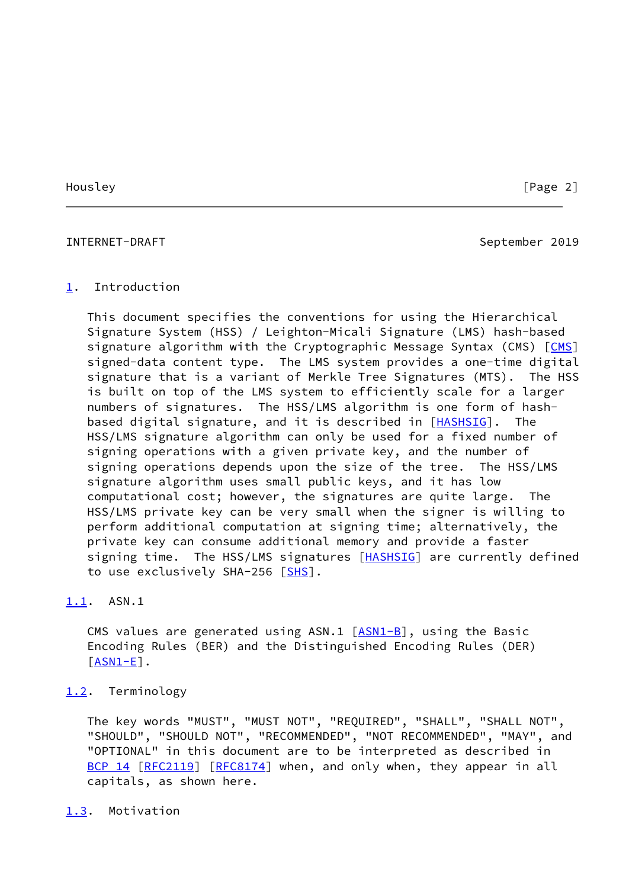# <span id="page-2-1"></span>INTERNET-DRAFT September 2019

### <span id="page-2-0"></span>[1](#page-2-0). Introduction

 This document specifies the conventions for using the Hierarchical Signature System (HSS) / Leighton-Micali Signature (LMS) hash-based signature algorithm with the Cryptographic Message Syntax (CMS) [\[CMS](#page-11-3)] signed-data content type. The LMS system provides a one-time digital signature that is a variant of Merkle Tree Signatures (MTS). The HSS is built on top of the LMS system to efficiently scale for a larger numbers of signatures. The HSS/LMS algorithm is one form of hash- based digital signature, and it is described in [\[HASHSIG](#page-11-4)]. The HSS/LMS signature algorithm can only be used for a fixed number of signing operations with a given private key, and the number of signing operations depends upon the size of the tree. The HSS/LMS signature algorithm uses small public keys, and it has low computational cost; however, the signatures are quite large. The HSS/LMS private key can be very small when the signer is willing to perform additional computation at signing time; alternatively, the private key can consume additional memory and provide a faster signing time. The HSS/LMS signatures [[HASHSIG](#page-11-4)] are currently defined to use exclusively SHA-256 [[SHS\]](#page-11-5).

# <span id="page-2-2"></span>[1.1](#page-2-2). ASN.1

CMS values are generated using  $ASN.1$   $[ASN1-B]$  $[ASN1-B]$ , using the Basic Encoding Rules (BER) and the Distinguished Encoding Rules (DER)  $[ASN1-E]$  $[ASN1-E]$ .

# <span id="page-2-3"></span>[1.2](#page-2-3). Terminology

 The key words "MUST", "MUST NOT", "REQUIRED", "SHALL", "SHALL NOT", "SHOULD", "SHOULD NOT", "RECOMMENDED", "NOT RECOMMENDED", "MAY", and "OPTIONAL" in this document are to be interpreted as described in [BCP 14](https://datatracker.ietf.org/doc/pdf/bcp14) [\[RFC2119](https://datatracker.ietf.org/doc/pdf/rfc2119)] [\[RFC8174](https://datatracker.ietf.org/doc/pdf/rfc8174)] when, and only when, they appear in all capitals, as shown here.

### <span id="page-2-4"></span>[1.3](#page-2-4). Motivation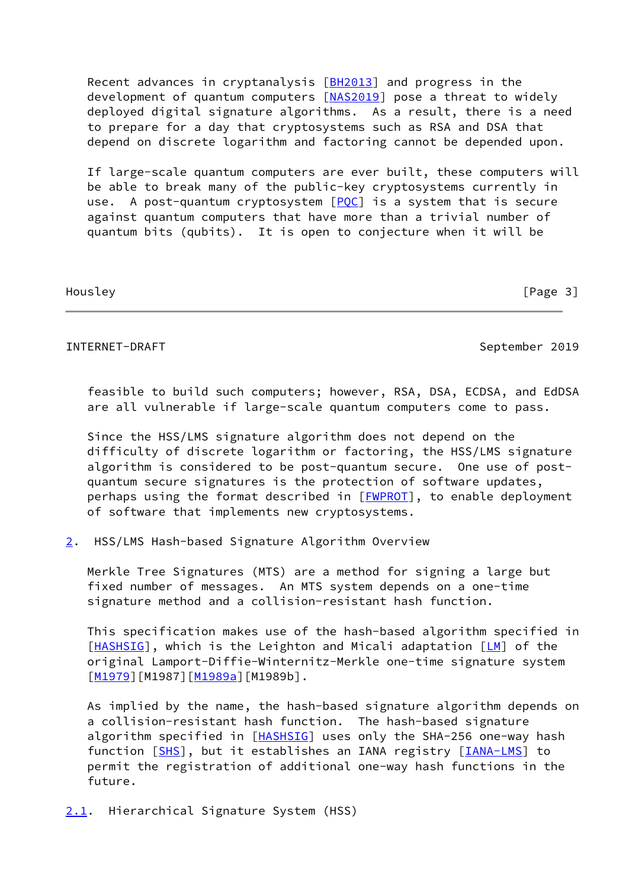Recent advances in cryptanalysis [\[BH2013](#page-12-1)] and progress in the development of quantum computers [\[NAS2019](#page-13-1)] pose a threat to widely deployed digital signature algorithms. As a result, there is a need to prepare for a day that cryptosystems such as RSA and DSA that depend on discrete logarithm and factoring cannot be depended upon.

 If large-scale quantum computers are ever built, these computers will be able to break many of the public-key cryptosystems currently in use. A post-quantum cryptosystem  $[POC]$  is a system that is secure against quantum computers that have more than a trivial number of quantum bits (qubits). It is open to conjecture when it will be

Housley [Page 3]

# <span id="page-3-1"></span>INTERNET-DRAFT September 2019

 feasible to build such computers; however, RSA, DSA, ECDSA, and EdDSA are all vulnerable if large-scale quantum computers come to pass.

 Since the HSS/LMS signature algorithm does not depend on the difficulty of discrete logarithm or factoring, the HSS/LMS signature algorithm is considered to be post-quantum secure. One use of post quantum secure signatures is the protection of software updates, perhaps using the format described in [[FWPROT](#page-12-2)], to enable deployment of software that implements new cryptosystems.

<span id="page-3-0"></span>[2](#page-3-0). HSS/LMS Hash-based Signature Algorithm Overview

 Merkle Tree Signatures (MTS) are a method for signing a large but fixed number of messages. An MTS system depends on a one-time signature method and a collision-resistant hash function.

 This specification makes use of the hash-based algorithm specified in [\[HASHSIG](#page-11-4)], which is the Leighton and Micali adaptation [\[LM](#page-12-3)] of the original Lamport-Diffie-Winternitz-Merkle one-time signature system [\[M1979](#page-12-4)][M1987][[M1989a](#page-13-3)][M1989b].

 As implied by the name, the hash-based signature algorithm depends on a collision-resistant hash function. The hash-based signature algorithm specified in [\[HASHSIG](#page-11-4)] uses only the SHA-256 one-way hash function [\[SHS](#page-11-5)], but it establishes an IANA registry [\[IANA-LMS](#page-12-5)] to permit the registration of additional one-way hash functions in the future.

<span id="page-3-2"></span>[2.1](#page-3-2). Hierarchical Signature System (HSS)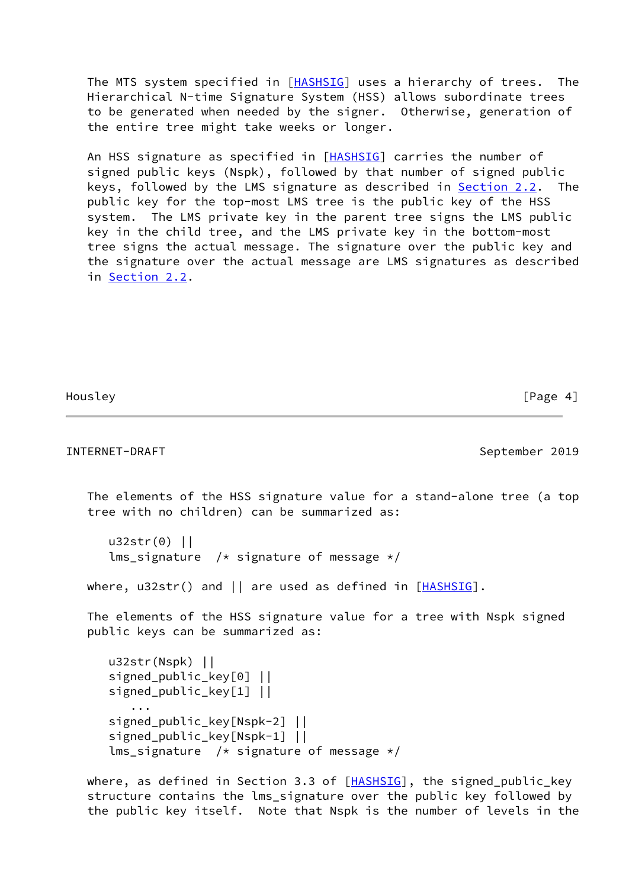The MTS system specified in [\[HASHSIG](#page-11-4)] uses a hierarchy of trees. The Hierarchical N-time Signature System (HSS) allows subordinate trees to be generated when needed by the signer. Otherwise, generation of the entire tree might take weeks or longer.

 An HSS signature as specified in [\[HASHSIG](#page-11-4)] carries the number of signed public keys (Nspk), followed by that number of signed public keys, followed by the LMS signature as described in [Section 2.2.](#page-5-0) The public key for the top-most LMS tree is the public key of the HSS system. The LMS private key in the parent tree signs the LMS public key in the child tree, and the LMS private key in the bottom-most tree signs the actual message. The signature over the public key and the signature over the actual message are LMS signatures as described in [Section 2.2](#page-5-0).

Housley **Example 2** and the set of the set of the set of the set of the set of the set of the set of the set of the set of the set of the set of the set of the set of the set of the set of the set of the set of the set of

```
INTERNET-DRAFT September 2019
   The elements of the HSS signature value for a stand-alone tree (a top
   tree with no children) can be summarized as:
      u32str(0) ||
     lms_signature /* signature of message */where, u32str() and || are used as defined in HASHSIG].
   The elements of the HSS signature value for a tree with Nspk signed
   public keys can be summarized as:
      u32str(Nspk) ||
      signed_public_key[0] ||
      signed_public_key[1] ||
 ...
      signed_public_key[Nspk-2] ||
     signed public key[Nspk-1] ||
     lms_signature /* signature of message */[HASHSIG], the signed_public_key
```
 structure contains the lms\_signature over the public key followed by the public key itself. Note that Nspk is the number of levels in the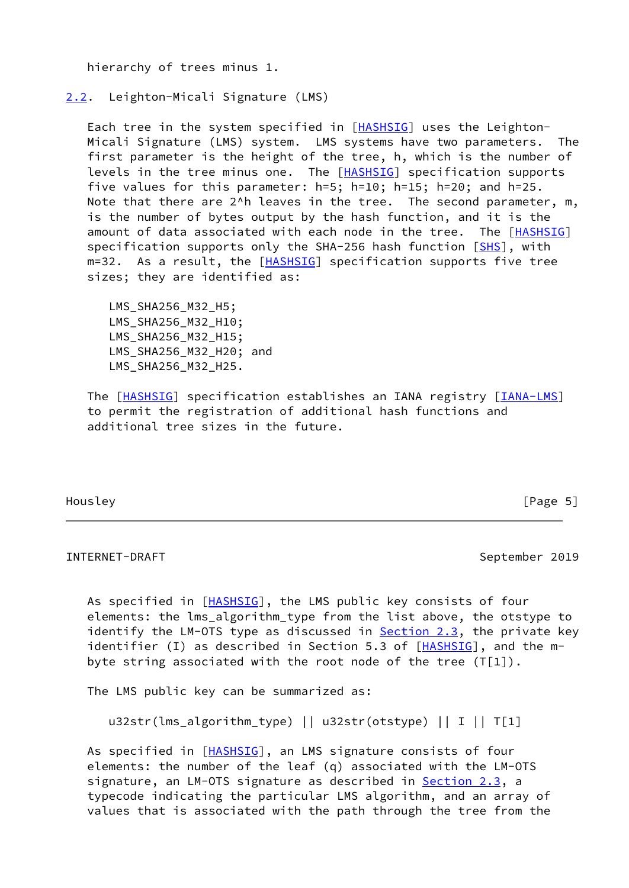hierarchy of trees minus 1.

<span id="page-5-0"></span>[2.2](#page-5-0). Leighton-Micali Signature (LMS)

 Each tree in the system specified in [\[HASHSIG](#page-11-4)] uses the Leighton- Micali Signature (LMS) system. LMS systems have two parameters. The first parameter is the height of the tree, h, which is the number of levels in the tree minus one. The [[HASHSIG\]](#page-11-4) specification supports five values for this parameter: h=5; h=10; h=15; h=20; and h=25. Note that there are 2<sup>^h</sup> leaves in the tree. The second parameter, m, is the number of bytes output by the hash function, and it is the amount of data associated with each node in the tree. The [[HASHSIG\]](#page-11-4) specification supports only the SHA-256 hash function [[SHS](#page-11-5)], with m=32. As a result, the [\[HASHSIG](#page-11-4)] specification supports five tree sizes; they are identified as:

LMS SHA256 M32 H5; LMS\_SHA256\_M32\_H10; LMS\_SHA256\_M32\_H15; LMS SHA256 M32 H20; and LMS\_SHA256\_M32\_H25.

The [\[HASHSIG](#page-11-4)] specification establishes an IANA registry [\[IANA-LMS](#page-12-5)] to permit the registration of additional hash functions and additional tree sizes in the future.

Housley [Page 5]

### <span id="page-5-1"></span>INTERNET-DRAFT September 2019

As specified in [\[HASHSIG](#page-11-4)], the LMS public key consists of four elements: the lms\_algorithm\_type from the list above, the otstype to identify the LM-OTS type as discussed in  $Section 2.3$ , the private key identifier (I) as described in Section 5.3 of  $[HASHSIG]$  $[HASHSIG]$  $[HASHSIG]$ , and the mbyte string associated with the root node of the tree (T[1]).

The LMS public key can be summarized as:

u32str(lms\_algorithm\_type) || u32str(otstype) || I || T[1]

As specified in [\[HASHSIG](#page-11-4)], an LMS signature consists of four elements: the number of the leaf (q) associated with the LM-OTS signature, an LM-OTS signature as described in **[Section 2.3](#page-6-0)**, a typecode indicating the particular LMS algorithm, and an array of values that is associated with the path through the tree from the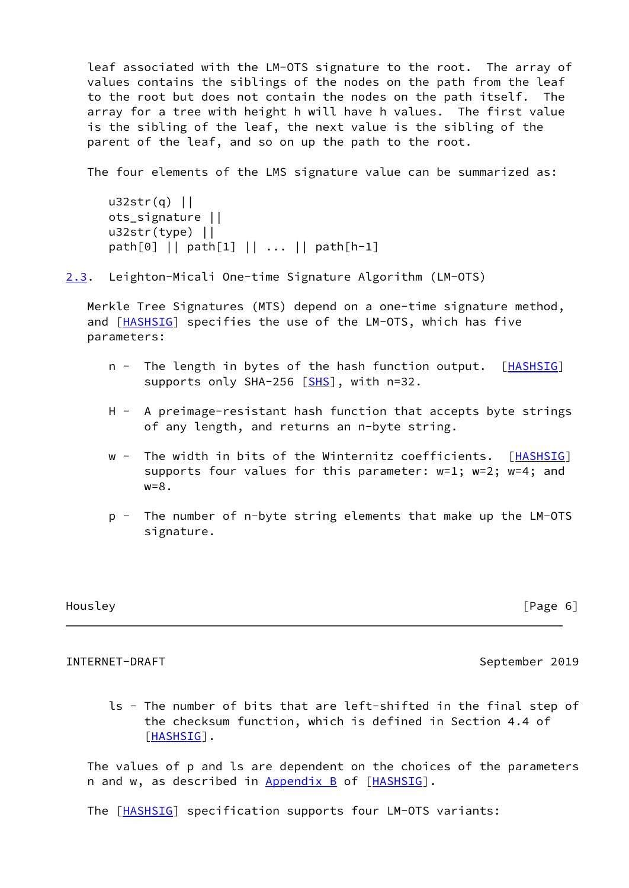leaf associated with the LM-OTS signature to the root. The array of values contains the siblings of the nodes on the path from the leaf to the root but does not contain the nodes on the path itself. The array for a tree with height h will have h values. The first value is the sibling of the leaf, the next value is the sibling of the parent of the leaf, and so on up the path to the root.

The four elements of the LMS signature value can be summarized as:

```
 u32str(q) ||
 ots_signature ||
 u32str(type) ||
 path[0] || path[1] || ... || path[h-1]
```
<span id="page-6-0"></span>[2.3](#page-6-0). Leighton-Micali One-time Signature Algorithm (LM-OTS)

 Merkle Tree Signatures (MTS) depend on a one-time signature method, and [\[HASHSIG](#page-11-4)] specifies the use of the LM-OTS, which has five parameters:

- n The length in bytes of the hash function output. [[HASHSIG](#page-11-4)] supports only SHA-256 [[SHS](#page-11-5)], with n=32.
- H A preimage-resistant hash function that accepts byte strings of any length, and returns an n-byte string.
- w The width in bits of the Winternitz coefficients. [[HASHSIG\]](#page-11-4) supports four values for this parameter: w=1; w=2; w=4; and  $w=8$ .
- p The number of n-byte string elements that make up the LM-OTS signature.

# Housley **Example 2** and the set of the set of the set of the set of the set of the set of the set of the set of the set of the set of the set of the set of the set of the set of the set of the set of the set of the set of

### <span id="page-6-1"></span>INTERNET-DRAFT September 2019

 ls - The number of bits that are left-shifted in the final step of the checksum function, which is defined in Section 4.4 of [\[HASHSIG](#page-11-4)].

 The values of p and ls are dependent on the choices of the parameters n and w, as described in Appendix B of [\[HASHSIG](#page-11-4)].

The [\[HASHSIG](#page-11-4)] specification supports four LM-OTS variants: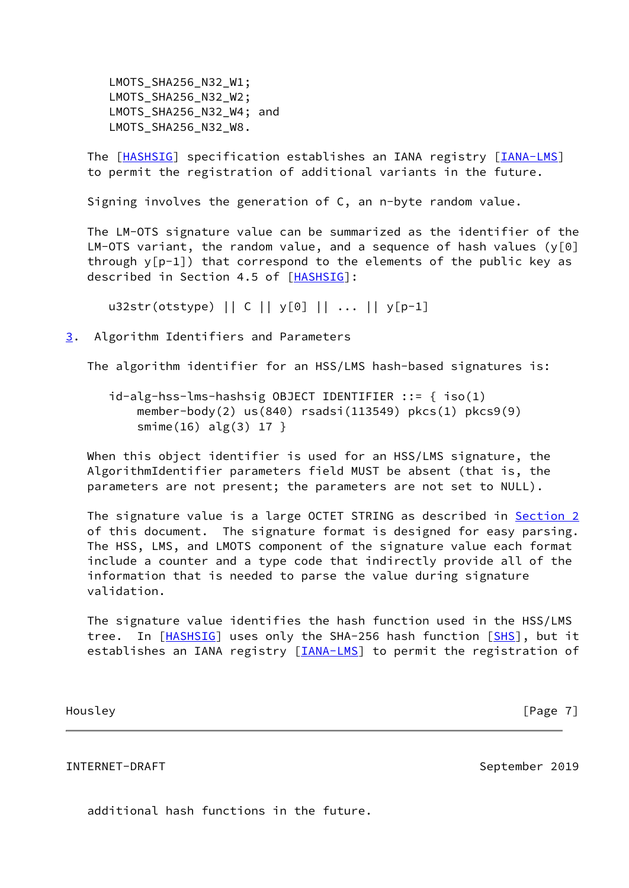LMOTS\_SHA256\_N32\_W1; LMOTS SHA256 N32 W2; LMOTS SHA256 N32 W4; and LMOTS\_SHA256\_N32\_W8.

 The [\[HASHSIG](#page-11-4)] specification establishes an IANA registry [\[IANA-LMS](#page-12-5)] to permit the registration of additional variants in the future.

Signing involves the generation of C, an n-byte random value.

 The LM-OTS signature value can be summarized as the identifier of the LM-OTS variant, the random value, and a sequence of hash values ( $y[0]$  through y[p-1]) that correspond to the elements of the public key as described in Section 4.5 of [\[HASHSIG](#page-11-4)]:

u32str(otstype) || C || y[0] || ... || y[p-1]

<span id="page-7-0"></span>[3](#page-7-0). Algorithm Identifiers and Parameters

The algorithm identifier for an HSS/LMS hash-based signatures is:

 id-alg-hss-lms-hashsig OBJECT IDENTIFIER ::= { iso(1) member-body(2) us(840) rsadsi(113549) pkcs(1) pkcs9(9) smime(16) alg(3) 17 }

 When this object identifier is used for an HSS/LMS signature, the AlgorithmIdentifier parameters field MUST be absent (that is, the parameters are not present; the parameters are not set to NULL).

 The signature value is a large OCTET STRING as described in [Section 2](#page-3-0) of this document. The signature format is designed for easy parsing. The HSS, LMS, and LMOTS component of the signature value each format include a counter and a type code that indirectly provide all of the information that is needed to parse the value during signature validation.

 The signature value identifies the hash function used in the HSS/LMS tree. In [[HASHSIG](#page-11-4)] uses only the SHA-256 hash function [\[SHS](#page-11-5)], but it establishes an IANA registry [*IANA-LMS*] to permit the registration of

Housley [Page 7]

### <span id="page-7-1"></span>INTERNET-DRAFT September 2019

additional hash functions in the future.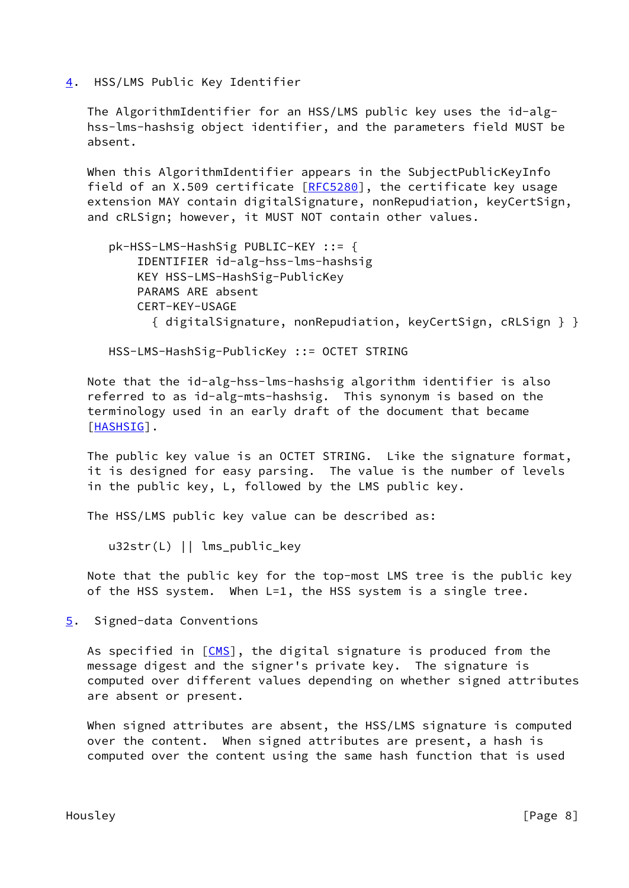<span id="page-8-0"></span>[4](#page-8-0). HSS/LMS Public Key Identifier

 The AlgorithmIdentifier for an HSS/LMS public key uses the id-alg hss-lms-hashsig object identifier, and the parameters field MUST be absent.

 When this AlgorithmIdentifier appears in the SubjectPublicKeyInfo field of an X.509 certificate  $[REC5280]$ , the certificate key usage extension MAY contain digitalSignature, nonRepudiation, keyCertSign, and cRLSign; however, it MUST NOT contain other values.

```
 pk-HSS-LMS-HashSig PUBLIC-KEY ::= {
     IDENTIFIER id-alg-hss-lms-hashsig
     KEY HSS-LMS-HashSig-PublicKey
     PARAMS ARE absent
     CERT-KEY-USAGE
       { digitalSignature, nonRepudiation, keyCertSign, cRLSign } }
```
HSS-LMS-HashSig-PublicKey ::= OCTET STRING

 Note that the id-alg-hss-lms-hashsig algorithm identifier is also referred to as id-alg-mts-hashsig. This synonym is based on the terminology used in an early draft of the document that became [\[HASHSIG](#page-11-4)].

 The public key value is an OCTET STRING. Like the signature format, it is designed for easy parsing. The value is the number of levels in the public key, L, followed by the LMS public key.

The HSS/LMS public key value can be described as:

u32str(L) || lms\_public\_key

 Note that the public key for the top-most LMS tree is the public key of the HSS system. When L=1, the HSS system is a single tree.

<span id="page-8-1"></span>[5](#page-8-1). Signed-data Conventions

As specified in  $[CMS]$  $[CMS]$ , the digital signature is produced from the message digest and the signer's private key. The signature is computed over different values depending on whether signed attributes are absent or present.

 When signed attributes are absent, the HSS/LMS signature is computed over the content. When signed attributes are present, a hash is computed over the content using the same hash function that is used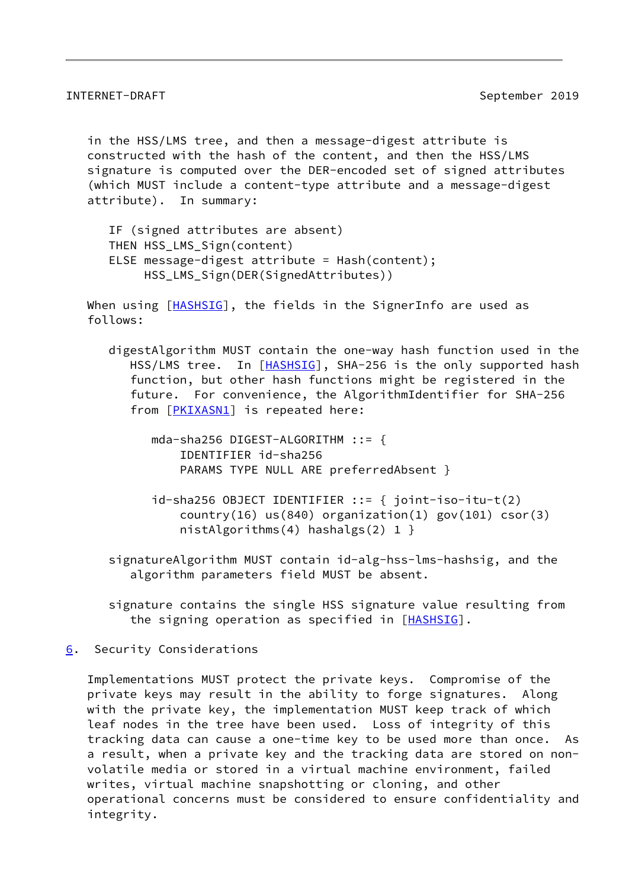<span id="page-9-1"></span> in the HSS/LMS tree, and then a message-digest attribute is constructed with the hash of the content, and then the HSS/LMS signature is computed over the DER-encoded set of signed attributes (which MUST include a content-type attribute and a message-digest attribute). In summary:

 IF (signed attributes are absent) THEN HSS LMS Sign(content) ELSE message-digest attribute = Hash(content); HSS\_LMS\_Sign(DER(SignedAttributes))

When using [[HASHSIG\]](#page-11-4), the fields in the SignerInfo are used as follows:

- digestAlgorithm MUST contain the one-way hash function used in the HSS/LMS tree. In [\[HASHSIG](#page-11-4)], SHA-256 is the only supported hash function, but other hash functions might be registered in the future. For convenience, the AlgorithmIdentifier for SHA-256 from [[PKIXASN1\]](#page-13-4) is repeated here:
	- mda-sha256 DIGEST-ALGORITHM ::= { IDENTIFIER id-sha256 PARAMS TYPE NULL ARE preferredAbsent }
	- $id$ -sha256 OBJECT IDENTIFIER ::= {  $joint-iso-itu-t(2)$ country(16)  $us(840)$  organization(1) gov(101) csor(3) nistAlgorithms(4) hashalgs(2)  $1$  }
- signatureAlgorithm MUST contain id-alg-hss-lms-hashsig, and the algorithm parameters field MUST be absent.
- signature contains the single HSS signature value resulting from the signing operation as specified in [\[HASHSIG](#page-11-4)].
- <span id="page-9-0"></span>[6](#page-9-0). Security Considerations

 Implementations MUST protect the private keys. Compromise of the private keys may result in the ability to forge signatures. Along with the private key, the implementation MUST keep track of which leaf nodes in the tree have been used. Loss of integrity of this tracking data can cause a one-time key to be used more than once. As a result, when a private key and the tracking data are stored on non volatile media or stored in a virtual machine environment, failed writes, virtual machine snapshotting or cloning, and other operational concerns must be considered to ensure confidentiality and integrity.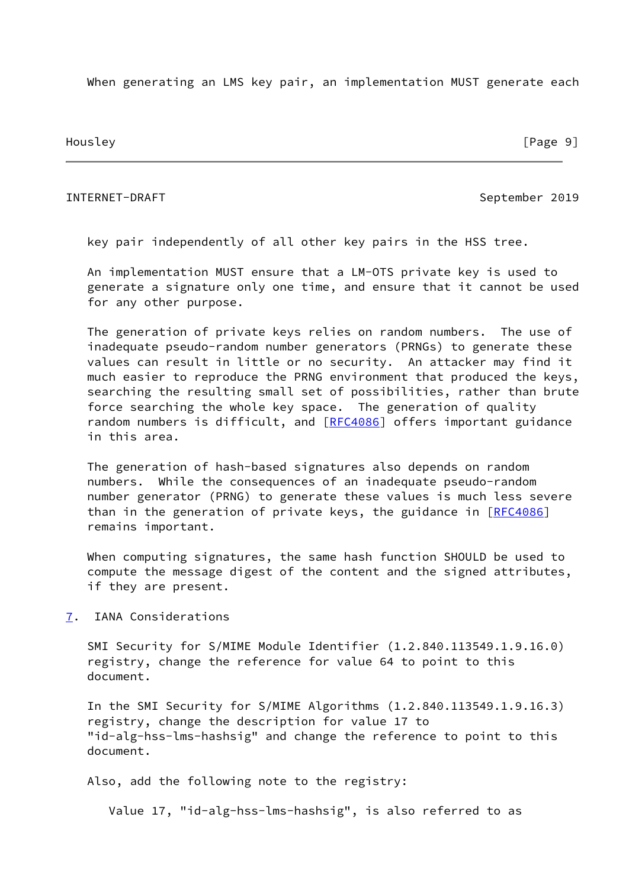When generating an LMS key pair, an implementation MUST generate each

Housley [Page 9]

# <span id="page-10-1"></span>INTERNET-DRAFT September 2019

key pair independently of all other key pairs in the HSS tree.

 An implementation MUST ensure that a LM-OTS private key is used to generate a signature only one time, and ensure that it cannot be used for any other purpose.

 The generation of private keys relies on random numbers. The use of inadequate pseudo-random number generators (PRNGs) to generate these values can result in little or no security. An attacker may find it much easier to reproduce the PRNG environment that produced the keys, searching the resulting small set of possibilities, rather than brute force searching the whole key space. The generation of quality random numbers is difficult, and [\[RFC4086](https://datatracker.ietf.org/doc/pdf/rfc4086)] offers important guidance in this area.

 The generation of hash-based signatures also depends on random numbers. While the consequences of an inadequate pseudo-random number generator (PRNG) to generate these values is much less severe than in the generation of private keys, the guidance in  $[REC4086]$ remains important.

 When computing signatures, the same hash function SHOULD be used to compute the message digest of the content and the signed attributes, if they are present.

<span id="page-10-0"></span>[7](#page-10-0). IANA Considerations

 SMI Security for S/MIME Module Identifier (1.2.840.113549.1.9.16.0) registry, change the reference for value 64 to point to this document.

 In the SMI Security for S/MIME Algorithms (1.2.840.113549.1.9.16.3) registry, change the description for value 17 to "id-alg-hss-lms-hashsig" and change the reference to point to this document.

Also, add the following note to the registry:

Value 17, "id-alg-hss-lms-hashsig", is also referred to as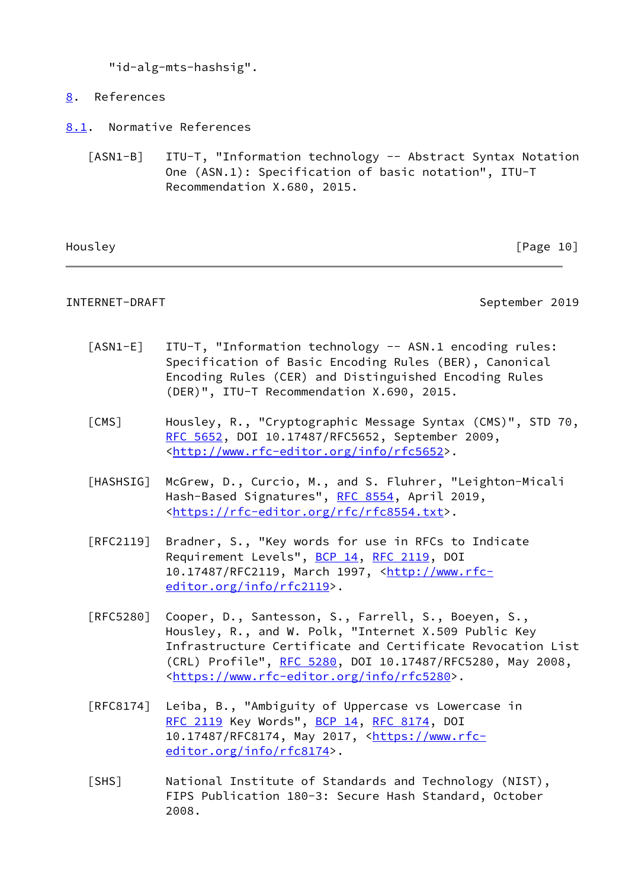"id-alg-mts-hashsig".

- <span id="page-11-0"></span>[8](#page-11-0). References
- <span id="page-11-6"></span><span id="page-11-1"></span>[8.1](#page-11-1). Normative References
	- [ASN1-B] ITU-T, "Information technology -- Abstract Syntax Notation One (ASN.1): Specification of basic notation", ITU-T Recommendation X.680, 2015.

Housley [Page 10]

<span id="page-11-2"></span>INTERNET-DRAFT September 2019

- <span id="page-11-7"></span> [ASN1-E] ITU-T, "Information technology -- ASN.1 encoding rules: Specification of Basic Encoding Rules (BER), Canonical Encoding Rules (CER) and Distinguished Encoding Rules (DER)", ITU-T Recommendation X.690, 2015.
- <span id="page-11-3"></span> [CMS] Housley, R., "Cryptographic Message Syntax (CMS)", STD 70, [RFC 5652,](https://datatracker.ietf.org/doc/pdf/rfc5652) DOI 10.17487/RFC5652, September 2009, <<http://www.rfc-editor.org/info/rfc5652>>.
- <span id="page-11-4"></span> [HASHSIG] McGrew, D., Curcio, M., and S. Fluhrer, "Leighton-Micali Hash-Based Signatures", [RFC 8554,](https://datatracker.ietf.org/doc/pdf/rfc8554) April 2019, <<https://rfc-editor.org/rfc/rfc8554.txt>>.
- [RFC2119] Bradner, S., "Key words for use in RFCs to Indicate Requirement Levels", [BCP 14](https://datatracker.ietf.org/doc/pdf/bcp14), [RFC 2119](https://datatracker.ietf.org/doc/pdf/rfc2119), DOI 10.17487/RFC2119, March 1997, [<http://www.rfc](http://www.rfc-editor.org/info/rfc2119) [editor.org/info/rfc2119](http://www.rfc-editor.org/info/rfc2119)>.
- [RFC5280] Cooper, D., Santesson, S., Farrell, S., Boeyen, S., Housley, R., and W. Polk, "Internet X.509 Public Key Infrastructure Certificate and Certificate Revocation List (CRL) Profile", [RFC 5280,](https://datatracker.ietf.org/doc/pdf/rfc5280) DOI 10.17487/RFC5280, May 2008, <[https://www.rfc-editor.org/info/rfc5280>](https://www.rfc-editor.org/info/rfc5280).
- [RFC8174] Leiba, B., "Ambiguity of Uppercase vs Lowercase in [RFC 2119](https://datatracker.ietf.org/doc/pdf/rfc2119) Key Words", [BCP 14](https://datatracker.ietf.org/doc/pdf/bcp14), [RFC 8174](https://datatracker.ietf.org/doc/pdf/rfc8174), DOI 10.17487/RFC8174, May 2017, [<https://www.rfc](https://www.rfc-editor.org/info/rfc8174) [editor.org/info/rfc8174](https://www.rfc-editor.org/info/rfc8174)>.
- <span id="page-11-5"></span> [SHS] National Institute of Standards and Technology (NIST), FIPS Publication 180-3: Secure Hash Standard, October 2008.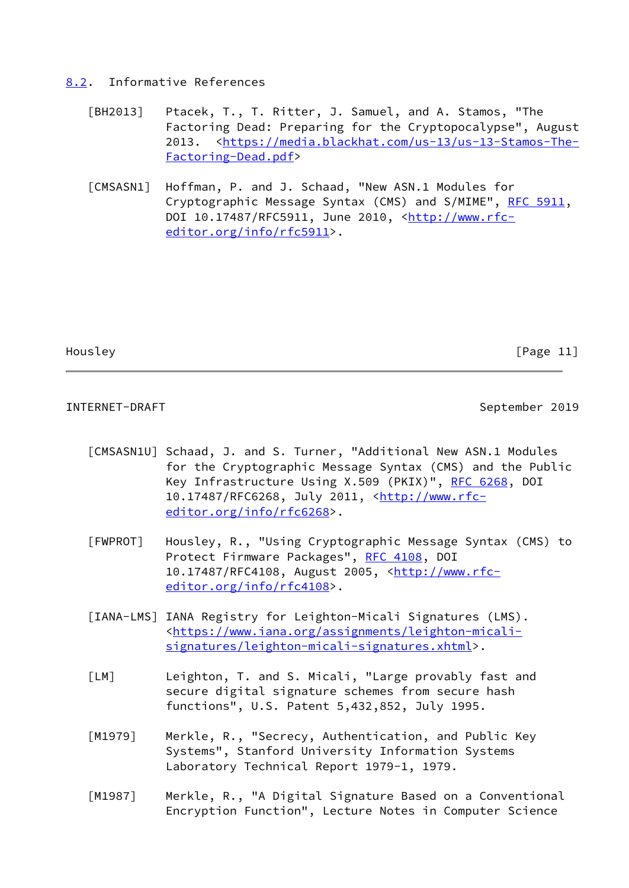# <span id="page-12-0"></span>[8.2](#page-12-0). Informative References

- <span id="page-12-1"></span> [BH2013] Ptacek, T., T. Ritter, J. Samuel, and A. Stamos, "The Factoring Dead: Preparing for the Cryptopocalypse", August 2013. <[https://media.blackhat.com/us-13/us-13-Stamos-The-](https://media.blackhat.com/us-13/us-13-Stamos-The-Factoring-Dead.pdf) [Factoring-Dead.pdf>](https://media.blackhat.com/us-13/us-13-Stamos-The-Factoring-Dead.pdf)
- <span id="page-12-6"></span> [CMSASN1] Hoffman, P. and J. Schaad, "New ASN.1 Modules for Cryptographic Message Syntax (CMS) and S/MIME", [RFC 5911,](https://datatracker.ietf.org/doc/pdf/rfc5911) DOI 10.17487/RFC5911, June 2010, [<http://www.rfc](http://www.rfc-editor.org/info/rfc5911) [editor.org/info/rfc5911](http://www.rfc-editor.org/info/rfc5911)>.

Housley **Example 20** Fragge 11 and the set of the set of the set of the set of the set of the set of the set of the set of the set of the set of the set of the set of the set of the set of the set of the set of the set of

INTERNET-DRAFT September 2019

- <span id="page-12-7"></span> [CMSASN1U] Schaad, J. and S. Turner, "Additional New ASN.1 Modules for the Cryptographic Message Syntax (CMS) and the Public Key Infrastructure Using X.509 (PKIX)", [RFC 6268,](https://datatracker.ietf.org/doc/pdf/rfc6268) DOI 10.17487/RFC6268, July 2011, [<http://www.rfc](http://www.rfc-editor.org/info/rfc6268) [editor.org/info/rfc6268](http://www.rfc-editor.org/info/rfc6268)>.
- <span id="page-12-2"></span> [FWPROT] Housley, R., "Using Cryptographic Message Syntax (CMS) to Protect Firmware Packages", [RFC 4108,](https://datatracker.ietf.org/doc/pdf/rfc4108) DOI 10.17487/RFC4108, August 2005, <[http://www.rfc](http://www.rfc-editor.org/info/rfc4108) [editor.org/info/rfc4108](http://www.rfc-editor.org/info/rfc4108)>.
- <span id="page-12-5"></span> [IANA-LMS] IANA Registry for Leighton-Micali Signatures (LMS). <[https://www.iana.org/assignments/leighton-micali](https://www.iana.org/assignments/leighton-micali-signatures/leighton-micali-signatures.xhtml) [signatures/leighton-micali-signatures.xhtml](https://www.iana.org/assignments/leighton-micali-signatures/leighton-micali-signatures.xhtml)>.
- <span id="page-12-3"></span> [LM] Leighton, T. and S. Micali, "Large provably fast and secure digital signature schemes from secure hash functions", U.S. Patent 5,432,852, July 1995.
- <span id="page-12-4"></span> [M1979] Merkle, R., "Secrecy, Authentication, and Public Key Systems", Stanford University Information Systems Laboratory Technical Report 1979-1, 1979.
- [M1987] Merkle, R., "A Digital Signature Based on a Conventional Encryption Function", Lecture Notes in Computer Science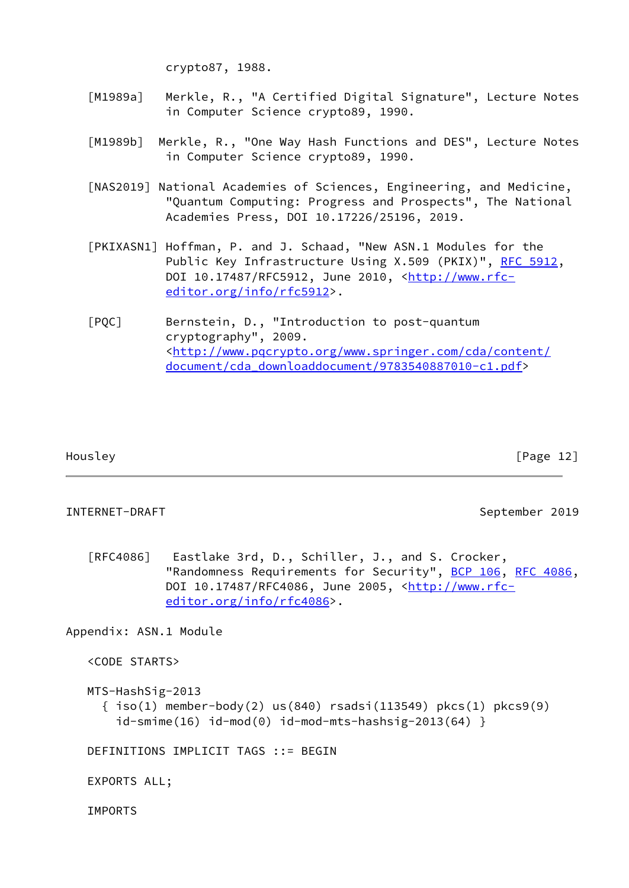crypto87, 1988.

- <span id="page-13-3"></span> [M1989a] Merkle, R., "A Certified Digital Signature", Lecture Notes in Computer Science crypto89, 1990.
- [M1989b] Merkle, R., "One Way Hash Functions and DES", Lecture Notes in Computer Science crypto89, 1990.
- <span id="page-13-1"></span> [NAS2019] National Academies of Sciences, Engineering, and Medicine, "Quantum Computing: Progress and Prospects", The National Academies Press, DOI 10.17226/25196, 2019.
- <span id="page-13-4"></span> [PKIXASN1] Hoffman, P. and J. Schaad, "New ASN.1 Modules for the Public Key Infrastructure Using X.509 (PKIX)", [RFC 5912](https://datatracker.ietf.org/doc/pdf/rfc5912), DOI 10.17487/RFC5912, June 2010, [<http://www.rfc](http://www.rfc-editor.org/info/rfc5912) [editor.org/info/rfc5912](http://www.rfc-editor.org/info/rfc5912)>.

<span id="page-13-2"></span> [PQC] Bernstein, D., "Introduction to post-quantum cryptography", 2009. <[http://www.pqcrypto.org/www.springer.com/cda/content/](http://www.pqcrypto.org/www.springer.com/cda/content/document/cda_downloaddocument/9783540887010-c1.pdf) [document/cda\\_downloaddocument/9783540887010-c1.pdf>](http://www.pqcrypto.org/www.springer.com/cda/content/document/cda_downloaddocument/9783540887010-c1.pdf)

Housley [Page 12]

### <span id="page-13-0"></span>INTERNET-DRAFT September 2019

 [RFC4086] Eastlake 3rd, D., Schiller, J., and S. Crocker, "Randomness Requirements for Security", [BCP 106](https://datatracker.ietf.org/doc/pdf/bcp106), [RFC 4086,](https://datatracker.ietf.org/doc/pdf/rfc4086) DOI 10.17487/RFC4086, June 2005, [<http://www.rfc](http://www.rfc-editor.org/info/rfc4086) [editor.org/info/rfc4086](http://www.rfc-editor.org/info/rfc4086)>.

Appendix: ASN.1 Module

<CODE STARTS>

```
 MTS-HashSig-2013
   { iso(1) member-body(2) us(840) rsadsi(113549) pkcs(1) pkcs9(9)
    id-smime(16) id-mod(0) id-mod-mts-hashsig-2013(64) }
```
DEFINITIONS IMPLICIT TAGS ::= BEGIN

EXPORTS ALL;

IMPORTS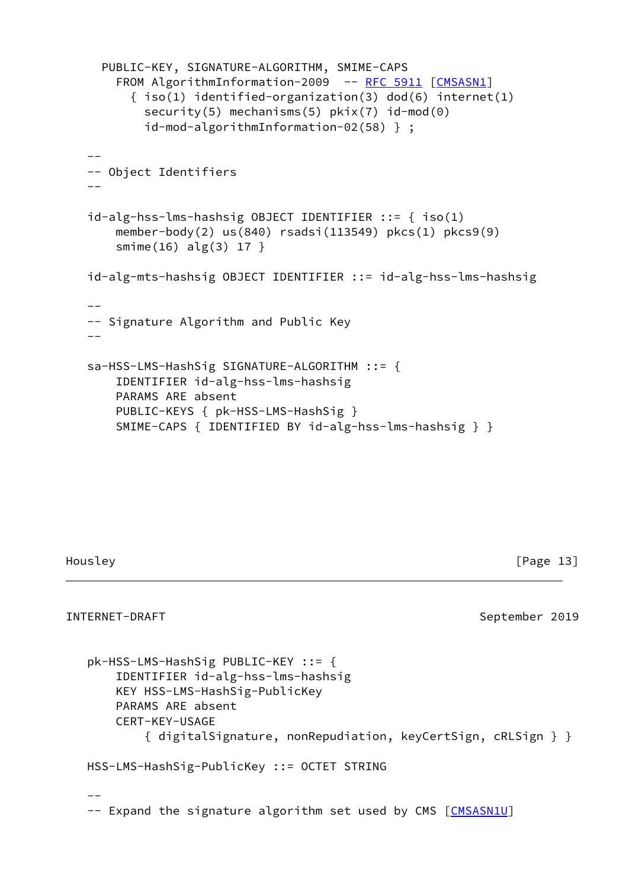```
 PUBLIC-KEY, SIGNATURE-ALGORITHM, SMIME-CAPS
      RFC 5911 [CMSASN1]
        \{ iso(1) identified-organization(3) dod(6) internet(1)
          security(5) mechanisms(5) pkix(7) id-mod(0)
           id-mod-algorithmInformation-02(58) } ;
  - -- Object Identifiers
 --
   id-alg-hss-lms-hashsig OBJECT IDENTIFIER ::= { iso(1)
       member-body(2) us(840) rsadsi(113549) pkcs(1) pkcs9(9)
       smime(16) alg(3) 17 }
   id-alg-mts-hashsig OBJECT IDENTIFIER ::= id-alg-hss-lms-hashsig
 --
   -- Signature Algorithm and Public Key
  - sa-HSS-LMS-HashSig SIGNATURE-ALGORITHM ::= {
       IDENTIFIER id-alg-hss-lms-hashsig
       PARAMS ARE absent
       PUBLIC-KEYS { pk-HSS-LMS-HashSig }
       SMIME-CAPS { IDENTIFIED BY id-alg-hss-lms-hashsig } }
```
Housley [Page 13]

```
INTERNET-DRAFT September 2019
   pk-HSS-LMS-HashSig PUBLIC-KEY ::= {
      IDENTIFIER id-alg-hss-lms-hashsig
      KEY HSS-LMS-HashSig-PublicKey
      PARAMS ARE absent
      CERT-KEY-USAGE
         { digitalSignature, nonRepudiation, keyCertSign, cRLSign } }
   HSS-LMS-HashSig-PublicKey ::= OCTET STRING
 --
  CMSASN1U]
```